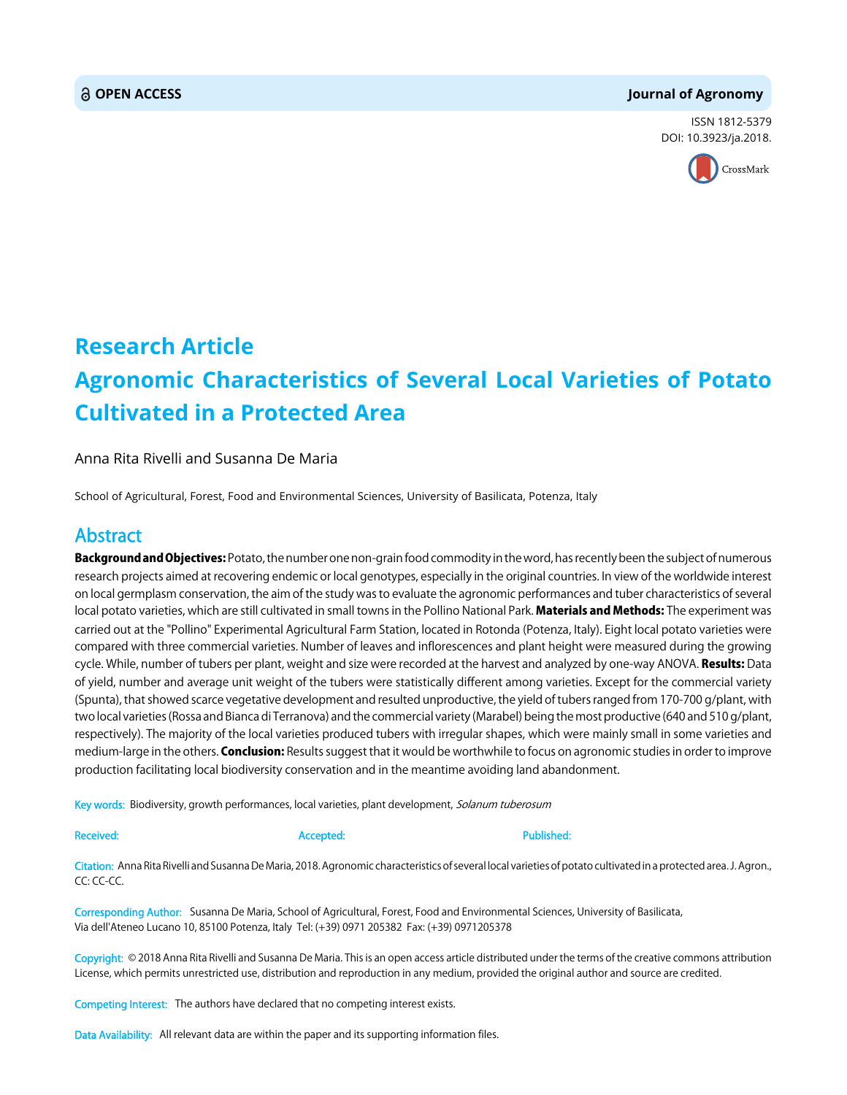### **OPEN ACCESS Journal of Agronomy**

ISSN 1812-5379 DOI: 10.3923/ja.2018.



# **Research Article Agronomic Characteristics of Several Local Varieties of Potato Cultivated in a Protected Area**

### Anna Rita Rivelli and Susanna De Maria

School of Agricultural, Forest, Food and Environmental Sciences, University of Basilicata, Potenza, Italy

## Abstract

**Background and Objectives:** Potato, the number one non-grain food commodity in the word, has recently been the subject of numerous research projects aimed at recovering endemic or local genotypes, especially in the original countries. In view of the worldwide interest on local germplasm conservation, the aim of the study was to evaluate the agronomic performances and tuber characteristics of several local potato varieties, which are still cultivated in small towns in the Pollino National Park. Materials and Methods: The experiment was carried out at the "Pollino" Experimental Agricultural Farm Station, located in Rotonda (Potenza, Italy). Eight local potato varieties were compared with three commercial varieties. Number of leaves and inflorescences and plant height were measured during the growing cycle. While, number of tubers per plant, weight and size were recorded at the harvest and analyzed by one-way ANOVA. Results: Data of yield, number and average unit weight of the tubers were statistically different among varieties. Except for the commercial variety (Spunta), that showed scarce vegetative development and resulted unproductive, the yield of tubers ranged from 170-700 g/plant, with two local varieties (Rossa and Bianca di Terranova) and the commercial variety (Marabel) being the most productive (640 and 510 g/plant, respectively). The majority of the local varieties produced tubers with irregular shapes, which were mainly small in some varieties and medium-large in the others. Conclusion: Results suggest that it would be worthwhile to focus on agronomic studies in order to improve production facilitating local biodiversity conservation and in the meantime avoiding land abandonment.

Key words: Biodiversity, growth performances, local varieties, plant development, Solanum tuberosum

Received: Accepted: Published:

Citation: Anna Rita Rivelli and Susanna De Maria, 2018. Agronomic characteristics of several local varieties of potato cultivated in a protected area. J. Agron., CC: CC-CC.

Corresponding Author: Susanna De Maria, School of Agricultural, Forest, Food and Environmental Sciences, University of Basilicata, Via dell'Ateneo Lucano 10, 85100 Potenza, Italy Tel: (+39) 0971 205382 Fax: (+39) 0971205378

Copyright: © 2018 Anna Rita Rivelli and Susanna De Maria. This is an open access article distributed under the terms of the creative commons attribution License, which permits unrestricted use, distribution and reproduction in any medium, provided the original author and source are credited.

Competing Interest: The authors have declared that no competing interest exists.

Data Availability: All relevant data are within the paper and its supporting information files.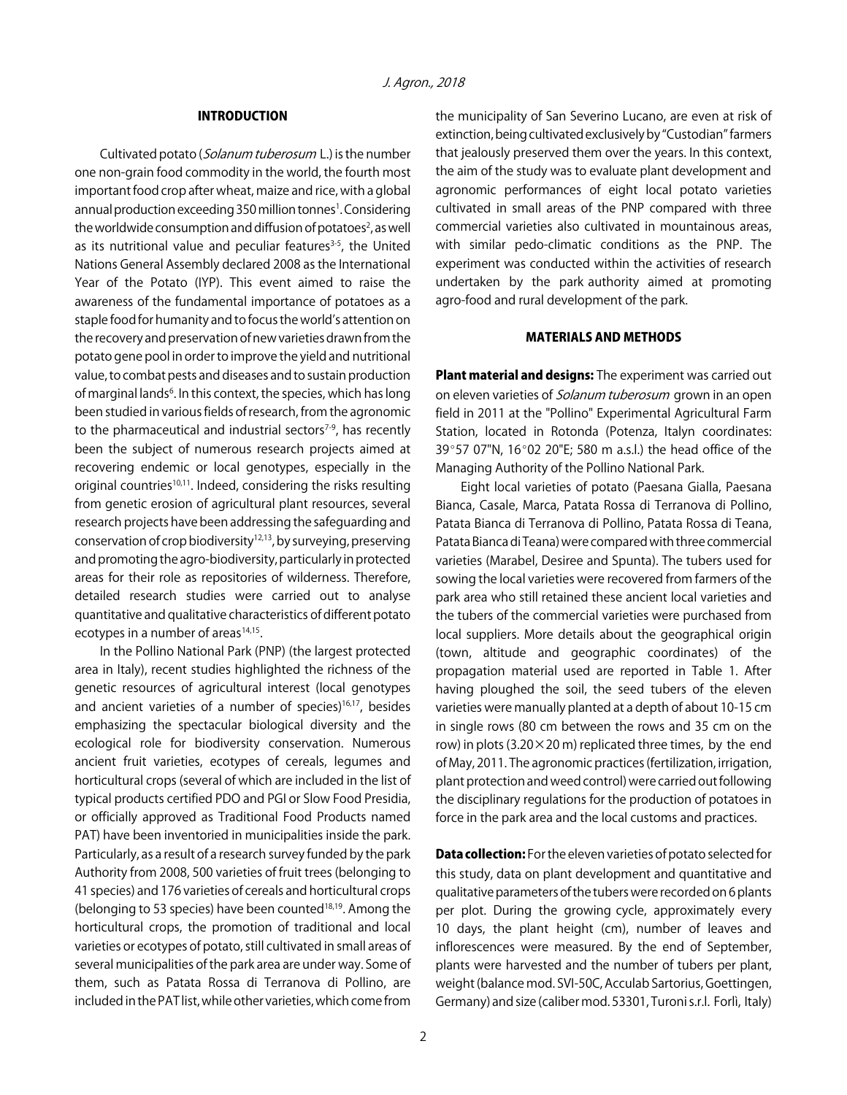#### INTRODUCTION

Cultivated potato (Solanum tuberosum L.) is the number one non-grain food commodity in the world, the fourth most important food crop after wheat, maize and rice, with a global annual production exceeding 350 million tonnes<sup>1</sup>. Considering the worldwide consumption and diffusion of potatoes<sup>2</sup>, as well as its nutritional value and peculiar features $3-5$ , the United Nations General Assembly declared 2008 as the International Year of the Potato (IYP). This event aimed to raise the awareness of the fundamental importance of potatoes as a staple food for humanity and to focus the world's attention on the recovery and preservation of new varieties drawn from the potato gene pool in order to improve the yield and nutritional value, to combat pests and diseases and to sustain production of marginal lands<sup>6</sup>. In this context, the species, which has long been studied in various fields of research, from the agronomic to the pharmaceutical and industrial sectors $7-9$ , has recently been the subject of numerous research projects aimed at recovering endemic or local genotypes, especially in the original countries<sup>10,11</sup>. Indeed, considering the risks resulting from genetic erosion of agricultural plant resources, several research projects have been addressing the safeguarding and conservation of crop biodiversity<sup>12,13</sup>, by surveying, preserving and promoting the agro-biodiversity, particularly in protected areas for their role as repositories of wilderness. Therefore, detailed research studies were carried out to analyse quantitative and qualitative characteristics of different potato ecotypes in a number of areas $14,15$ .

In the Pollino National Park (PNP) (the largest protected area in Italy), recent studies highlighted the richness of the genetic resources of agricultural interest (local genotypes and ancient varieties of a number of species) $16,17$ , besides emphasizing the spectacular biological diversity and the ecological role for biodiversity conservation. Numerous ancient fruit varieties, ecotypes of cereals, legumes and horticultural crops (several of which are included in the list of typical products certified PDO and PGI or Slow Food Presidia, or officially approved as Traditional Food Products named PAT) have been inventoried in municipalities inside the park. Particularly, as a result of a research survey funded by the park Authority from 2008, 500 varieties of fruit trees (belonging to 41 species) and 176 varieties of cereals and horticultural crops (belonging to 53 species) have been counted $18,19$ . Among the horticultural crops, the promotion of traditional and local varieties or ecotypes of potato, still cultivated in small areas of several municipalities of the park area are under way. Some of them, such as Patata Rossa di Terranova di Pollino, are included in the PAT list, while other varieties, which come from

the municipality of San Severino Lucano, are even at risk of extinction, being cultivated exclusively by "Custodian" farmers that jealously preserved them over the years. In this context, the aim of the study was to evaluate plant development and agronomic performances of eight local potato varieties cultivated in small areas of the PNP compared with three commercial varieties also cultivated in mountainous areas, with similar pedo-climatic conditions as the PNP. The experiment was conducted within the activities of research undertaken by the park authority aimed at promoting agro-food and rural development of the park.

### MATERIALS AND METHODS

Plant material and designs: The experiment was carried out on eleven varieties of *Solanum tuberosum* grown in an open field in 2011 at the "Pollino" Experimental Agricultural Farm Station, located in Rotonda (Potenza, Italyn coordinates: 39°57 07"N, 16°02 20"E; 580 m a.s.l.) the head office of the Managing Authority of the Pollino National Park.

Eight local varieties of potato (Paesana Gialla, Paesana Bianca, Casale, Marca, Patata Rossa di Terranova di Pollino, Patata Bianca di Terranova di Pollino, Patata Rossa di Teana, Patata Bianca di Teana) were compared with three commercial varieties (Marabel, Desiree and Spunta). The tubers used for sowing the local varieties were recovered from farmers of the park area who still retained these ancient local varieties and the tubers of the commercial varieties were purchased from local suppliers. More details about the geographical origin (town, altitude and geographic coordinates) of the propagation material used are reported in Table 1. After having ploughed the soil, the seed tubers of the eleven varieties were manually planted at a depth of about 10-15 cm in single rows (80 cm between the rows and 35 cm on the row) in plots (3.20 $\times$ 20 m) replicated three times, by the end of May, 2011. The agronomic practices (fertilization, irrigation, plant protection and weed control) were carried out following the disciplinary regulations for the production of potatoes in force in the park area and the local customs and practices.

**Data collection:** For the eleven varieties of potato selected for this study, data on plant development and quantitative and qualitative parameters of the tubers were recorded on 6 plants per plot. During the growing cycle, approximately every 10 days, the plant height (cm), number of leaves and inflorescences were measured. By the end of September, plants were harvested and the number of tubers per plant, weight (balance mod. SVI-50C, Acculab Sartorius, Goettingen, Germany) and size (caliber mod. 53301, Turoni s.r.l. Forlì, Italy)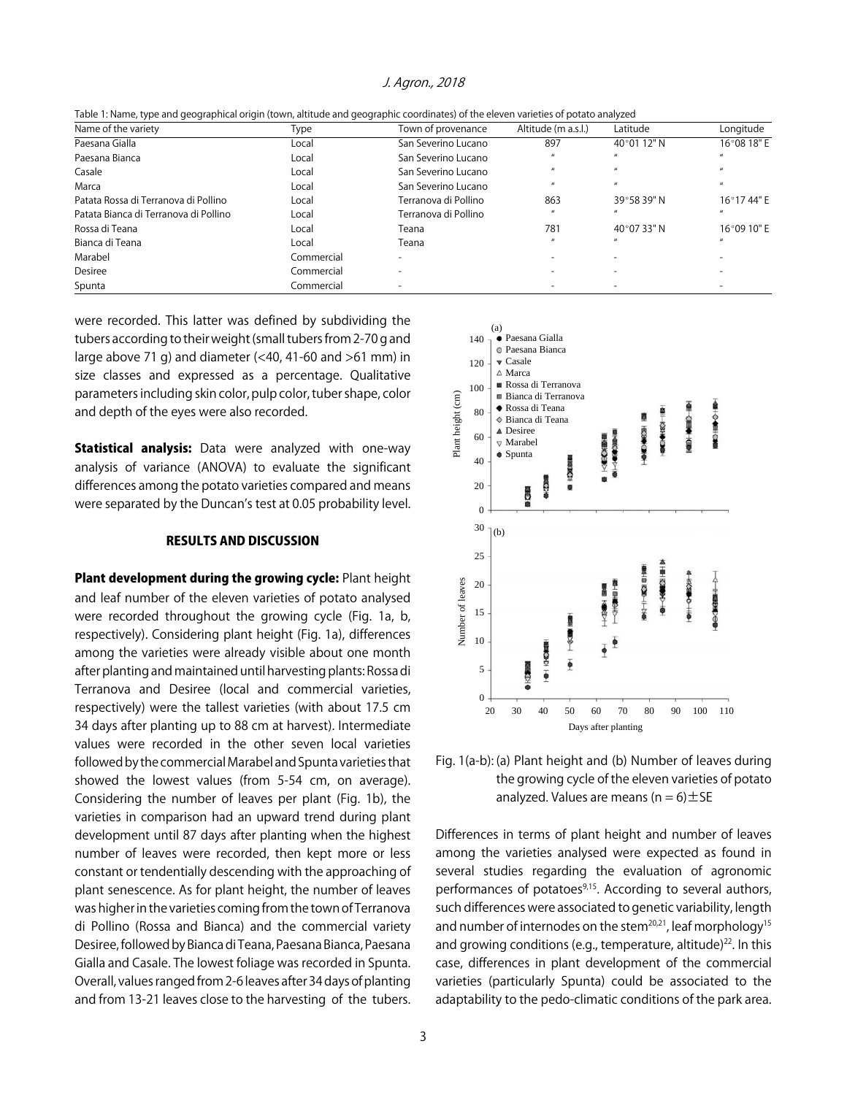|  |  | Table 1: Name, type and geographical origin (town, altitude and geographic coordinates) of the eleven varieties of potato analyzed |  |
|--|--|------------------------------------------------------------------------------------------------------------------------------------|--|
|--|--|------------------------------------------------------------------------------------------------------------------------------------|--|

| Name of the variety                   | Type       | Town of provenance   | Altitude (m a.s.l.) | Latitude             | Longitude          |
|---------------------------------------|------------|----------------------|---------------------|----------------------|--------------------|
| Paesana Gialla                        | Local      | San Severino Lucano  | 897                 | 40°01 12" N          | 16°08 18" E        |
| Paesana Bianca                        | Local      | San Severino Lucano  |                     |                      |                    |
| Casale                                | Local      | San Severino Lucano  | $\boldsymbol{u}$    |                      | $\mathbf{u}$       |
| Marca                                 | Local      | San Severino Lucano  | $\boldsymbol{u}$    |                      | $\boldsymbol{\mu}$ |
| Patata Rossa di Terranova di Pollino  | Local      | Terranova di Pollino | 863                 | 39°58 39" N          | 16°1744" E         |
| Patata Bianca di Terranova di Pollino | Local      | Terranova di Pollino |                     |                      |                    |
| Rossa di Teana                        | Local      | Teana                | 781                 | $40^{\circ}0733$ " N | 16°09 10" E        |
| Bianca di Teana                       | Local      | Teana                | $\mathbf{u}$        |                      |                    |
| Marabel                               | Commercial |                      |                     |                      |                    |
| Desiree                               | Commercial |                      |                     |                      |                    |
| Spunta                                | Commercial |                      |                     |                      |                    |

were recorded. This latter was defined by subdividing the tubers according to their weight (small tubers from 2-70 g and large above 71 g) and diameter (<40, 41-60 and >61 mm) in size classes and expressed as a percentage. Qualitative parameters including skin color, pulp color, tuber shape, color and depth of the eyes were also recorded.

**Statistical analysis:** Data were analyzed with one-way analysis of variance (ANOVA) to evaluate the significant differences among the potato varieties compared and means were separated by the Duncan's test at 0.05 probability level.

#### RESULTS AND DISCUSSION

Plant development during the growing cycle: Plant height and leaf number of the eleven varieties of potato analysed were recorded throughout the growing cycle (Fig. 1a, b, respectively). Considering plant height (Fig. 1a), differences among the varieties were already visible about one month after planting and maintained until harvesting plants: Rossa di Terranova and Desiree (local and commercial varieties, respectively) were the tallest varieties (with about 17.5 cm 34 days after planting up to 88 cm at harvest). Intermediate values were recorded in the other seven local varieties followed by the commercial Marabel and Spunta varieties that showed the lowest values (from 5-54 cm, on average). Considering the number of leaves per plant (Fig. 1b), the varieties in comparison had an upward trend during plant development until 87 days after planting when the highest number of leaves were recorded, then kept more or less constant or tendentially descending with the approaching of plant senescence. As for plant height, the number of leaves was higher in the varieties coming from the town of Terranova di Pollino (Rossa and Bianca) and the commercial variety Desiree, followed by Bianca di Teana, Paesana Bianca, Paesana Gialla and Casale. The lowest foliage was recorded in Spunta. Overall, values ranged from 2-6 leaves after 34 days of planting and from 13-21 leaves close to the harvesting of the tubers.



Fig. 1(a-b): (a) Plant height and (b) Number of leaves during the growing cycle of the eleven varieties of potato analyzed. Values are means  $(n = 6) \pm SE$ 

Differences in terms of plant height and number of leaves among the varieties analysed were expected as found in several studies regarding the evaluation of agronomic performances of potatoes<sup>9,15</sup>. According to several authors, such differences were associated to genetic variability, length and number of internodes on the stem<sup>20,21</sup>, leaf morphology<sup>15</sup> and growing conditions (e.g., temperature, altitude) $22$ . In this case, differences in plant development of the commercial varieties (particularly Spunta) could be associated to the adaptability to the pedo-climatic conditions of the park area.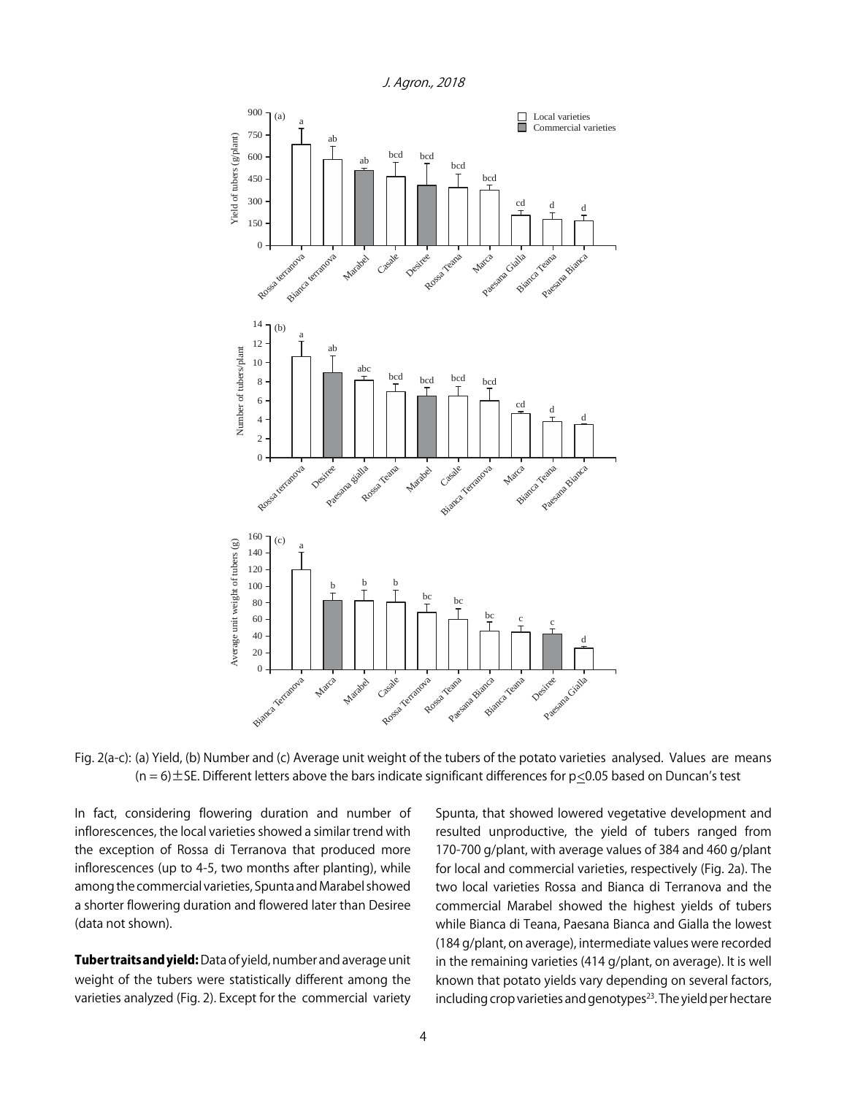

Fig. 2(a-c): (a) Yield, (b) Number and (c) Average unit weight of the tubers of the potato varieties analysed. Values are means  $(n = 6) \pm$  SE. Different letters above the bars indicate significant differences for  $p \le 0.05$  based on Duncan's test

In fact, considering flowering duration and number of inflorescences, the local varieties showed a similar trend with the exception of Rossa di Terranova that produced more inflorescences (up to 4-5, two months after planting), while among the commercial varieties, Spunta and Marabel showed a shorter flowering duration and flowered later than Desiree (data not shown).

Tuber traits and yield: Data of yield, number and average unit weight of the tubers were statistically different among the varieties analyzed (Fig. 2). Except for the commercial variety

Spunta, that showed lowered vegetative development and resulted unproductive, the yield of tubers ranged from 170-700 g/plant, with average values of 384 and 460 g/plant for local and commercial varieties, respectively (Fig. 2a). The two local varieties Rossa and Bianca di Terranova and the commercial Marabel showed the highest yields of tubers while Bianca di Teana, Paesana Bianca and Gialla the lowest (184 g/plant, on average), intermediate values were recorded in the remaining varieties (414 g/plant, on average). It is well known that potato yields vary depending on several factors, including crop varieties and genotypes<sup>23</sup>. The yield per hectare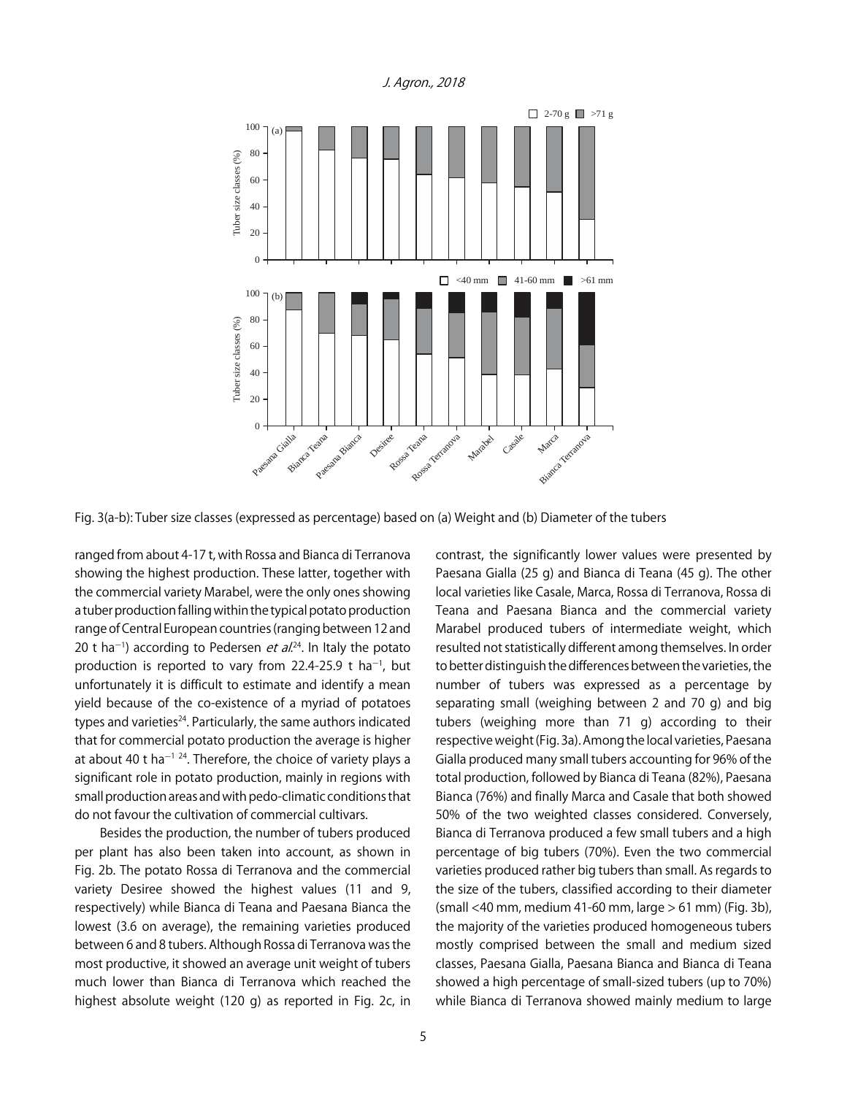

Fig. 3(a-b): Tuber size classes (expressed as percentage) based on (a) Weight and (b) Diameter of the tubers

ranged from about 4-17 t, with Rossa and Bianca di Terranova showing the highest production. These latter, together with the commercial variety Marabel, were the only ones showing a tuber production falling within the typical potato production range of Central European countries (ranging between 12 and 20 t ha<sup>-1</sup>) according to Pedersen *et al.*<sup>24</sup>. In Italy the potato production is reported to vary from 22.4-25.9 t ha<sup>-1</sup>, but unfortunately it is difficult to estimate and identify a mean yield because of the co-existence of a myriad of potatoes types and varieties<sup>24</sup>. Particularly, the same authors indicated that for commercial potato production the average is higher at about 40 t ha<sup> $-1$  24</sup>. Therefore, the choice of variety plays a significant role in potato production, mainly in regions with small production areas and with pedo-climatic conditions that do not favour the cultivation of commercial cultivars.

Besides the production, the number of tubers produced per plant has also been taken into account, as shown in Fig. 2b. The potato Rossa di Terranova and the commercial variety Desiree showed the highest values (11 and 9, respectively) while Bianca di Teana and Paesana Bianca the lowest (3.6 on average), the remaining varieties produced between 6 and 8 tubers. Although Rossa di Terranova was the most productive, it showed an average unit weight of tubers much lower than Bianca di Terranova which reached the highest absolute weight (120 g) as reported in Fig. 2c, in contrast, the significantly lower values were presented by Paesana Gialla (25 g) and Bianca di Teana (45 g). The other local varieties like Casale, Marca, Rossa di Terranova, Rossa di Teana and Paesana Bianca and the commercial variety Marabel produced tubers of intermediate weight, which resulted not statistically different among themselves. In order to better distinguish the differences between the varieties, the number of tubers was expressed as a percentage by separating small (weighing between 2 and 70 g) and big tubers (weighing more than 71 g) according to their respective weight (Fig. 3a). Among the local varieties, Paesana Gialla produced many small tubers accounting for 96% of the total production, followed by Bianca di Teana (82%), Paesana Bianca (76%) and finally Marca and Casale that both showed 50% of the two weighted classes considered. Conversely, Bianca di Terranova produced a few small tubers and a high percentage of big tubers (70%). Even the two commercial varieties produced rather big tubers than small. As regards to the size of the tubers, classified according to their diameter (small <40 mm, medium 41-60 mm, large > 61 mm) (Fig. 3b), the majority of the varieties produced homogeneous tubers mostly comprised between the small and medium sized classes, Paesana Gialla, Paesana Bianca and Bianca di Teana showed a high percentage of small-sized tubers (up to 70%) while Bianca di Terranova showed mainly medium to large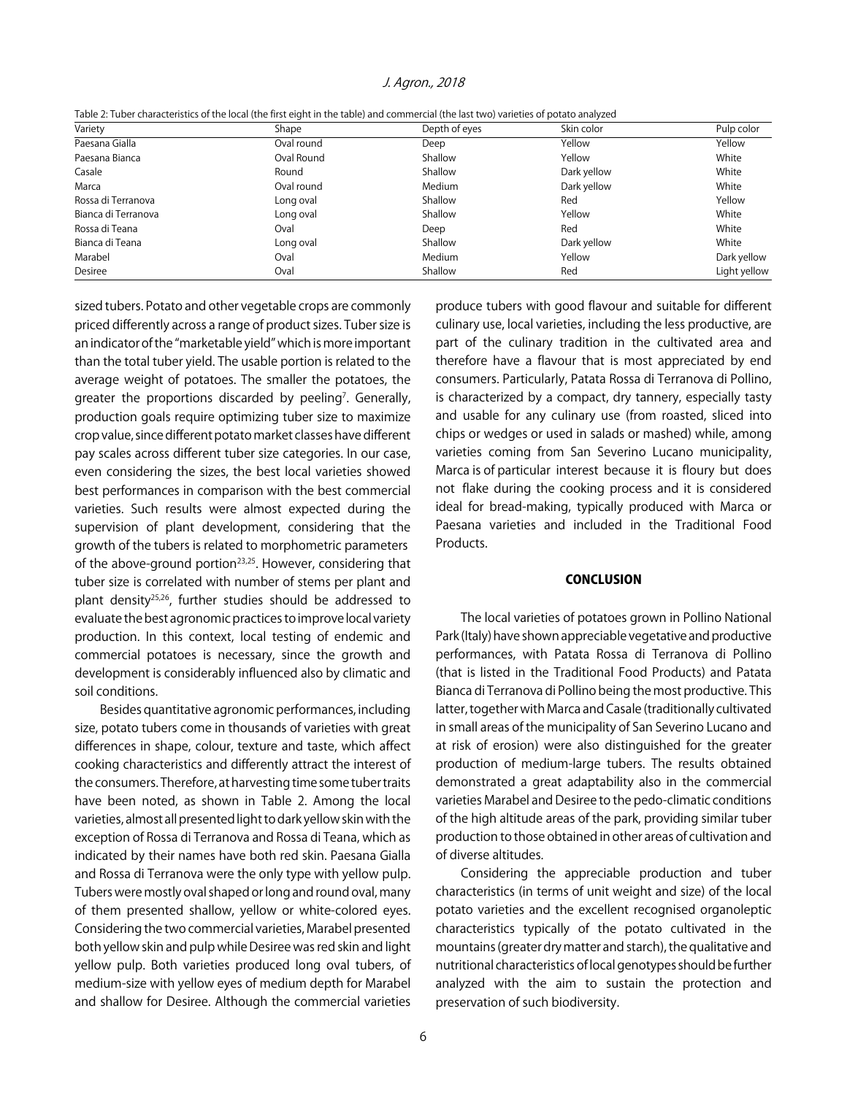| Table 2: Tuber characteristics of the local (the first eight in the table) and commercial (the last two) varieties of potato analyzed |  |
|---------------------------------------------------------------------------------------------------------------------------------------|--|
|---------------------------------------------------------------------------------------------------------------------------------------|--|

| Variety             | Shape      | Depth of eyes | Skin color  | Pulp color   |
|---------------------|------------|---------------|-------------|--------------|
| Paesana Gialla      | Oval round | Deep          | Yellow      | Yellow       |
| Paesana Bianca      | Oval Round | Shallow       | Yellow      | White        |
| Casale              | Round      | Shallow       | Dark yellow | White        |
| Marca               | Oval round | Medium        | Dark yellow | White        |
| Rossa di Terranova  | Long oval  | Shallow       | Red         | Yellow       |
| Bianca di Terranova | Long oval  | Shallow       | Yellow      | White        |
| Rossa di Teana      | Oval       | Deep          | Red         | White        |
| Bianca di Teana     | Long oval  | Shallow       | Dark yellow | White        |
| Marabel             | Oval       | Medium        | Yellow      | Dark yellow  |
| Desiree             | Oval       | Shallow       | Red         | Light yellow |

sized tubers. Potato and other vegetable crops are commonly priced differently across a range of product sizes. Tuber size is an indicator of the "marketable yield" which is more important than the total tuber yield. The usable portion is related to the average weight of potatoes. The smaller the potatoes, the greater the proportions discarded by peeling<sup>7</sup>. Generally, production goals require optimizing tuber size to maximize crop value, since different potato market classes have different pay scales across different tuber size categories. In our case, even considering the sizes, the best local varieties showed best performances in comparison with the best commercial varieties. Such results were almost expected during the supervision of plant development, considering that the growth of the tubers is related to morphometric parameters of the above-ground portion<sup>23,25</sup>. However, considering that tuber size is correlated with number of stems per plant and plant density25,26, further studies should be addressed to evaluate the best agronomic practices to improve local variety production. In this context, local testing of endemic and commercial potatoes is necessary, since the growth and development is considerably influenced also by climatic and soil conditions.

Besides quantitative agronomic performances, including size, potato tubers come in thousands of varieties with great differences in shape, colour, texture and taste, which affect cooking characteristics and differently attract the interest of the consumers. Therefore, at harvesting time some tuber traits have been noted, as shown in Table 2. Among the local varieties, almost all presented light to dark yellow skin with the exception of Rossa di Terranova and Rossa di Teana, which as indicated by their names have both red skin. Paesana Gialla and Rossa di Terranova were the only type with yellow pulp. Tubers were mostly oval shaped or long and round oval, many of them presented shallow, yellow or white-colored eyes. Considering the two commercial varieties, Marabel presented both yellow skin and pulp while Desiree was red skin and light yellow pulp. Both varieties produced long oval tubers, of medium-size with yellow eyes of medium depth for Marabel and shallow for Desiree. Although the commercial varieties

produce tubers with good flavour and suitable for different culinary use, local varieties, including the less productive, are part of the culinary tradition in the cultivated area and therefore have a flavour that is most appreciated by end consumers. Particularly, Patata Rossa di Terranova di Pollino, is characterized by a compact, dry tannery, especially tasty and usable for any culinary use (from roasted, sliced into chips or wedges or used in salads or mashed) while, among varieties coming from San Severino Lucano municipality, Marca is of particular interest because it is floury but does not flake during the cooking process and it is considered ideal for bread-making, typically produced with Marca or Paesana varieties and included in the Traditional Food Products.

#### **CONCLUSION**

The local varieties of potatoes grown in Pollino National Park (Italy) have shown appreciable vegetative and productive performances, with Patata Rossa di Terranova di Pollino (that is listed in the Traditional Food Products) and Patata Bianca di Terranova di Pollino being the most productive. This latter, together with Marca and Casale (traditionally cultivated in small areas of the municipality of San Severino Lucano and at risk of erosion) were also distinguished for the greater production of medium-large tubers. The results obtained demonstrated a great adaptability also in the commercial varieties Marabel and Desiree to the pedo-climatic conditions of the high altitude areas of the park, providing similar tuber production to those obtained in other areas of cultivation and of diverse altitudes.

Considering the appreciable production and tuber characteristics (in terms of unit weight and size) of the local potato varieties and the excellent recognised organoleptic characteristics typically of the potato cultivated in the mountains (greater dry matter and starch), the qualitative and nutritional characteristics of local genotypes should be further analyzed with the aim to sustain the protection and preservation of such biodiversity.